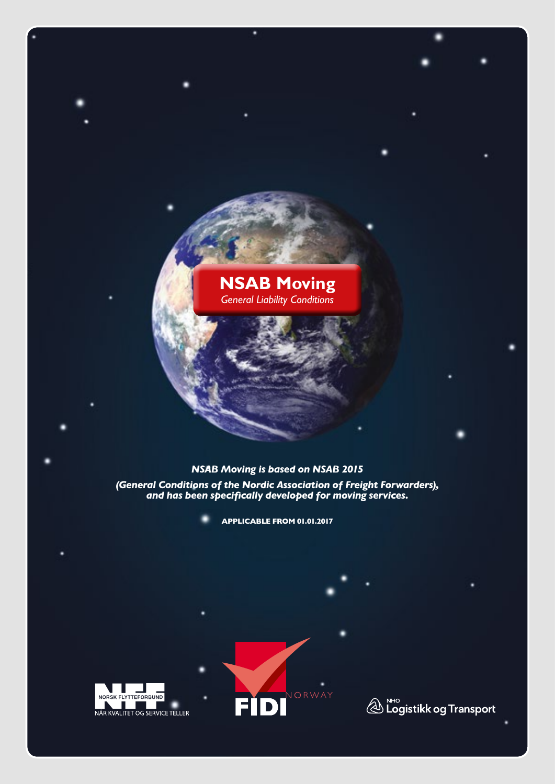# **NSAB Moving** *General Liability Conditions*

## *NSAB Moving is based on NSAB 2015*

*(General Conditions of the Nordic Association of Freight Forwarders), and has been specifically developed for moving services.*

**APPLICABLE FROM 01.01.2017**





 $\bigotimes_{}^{\tiny\textsf{NHO}}$  Logistikk og Transport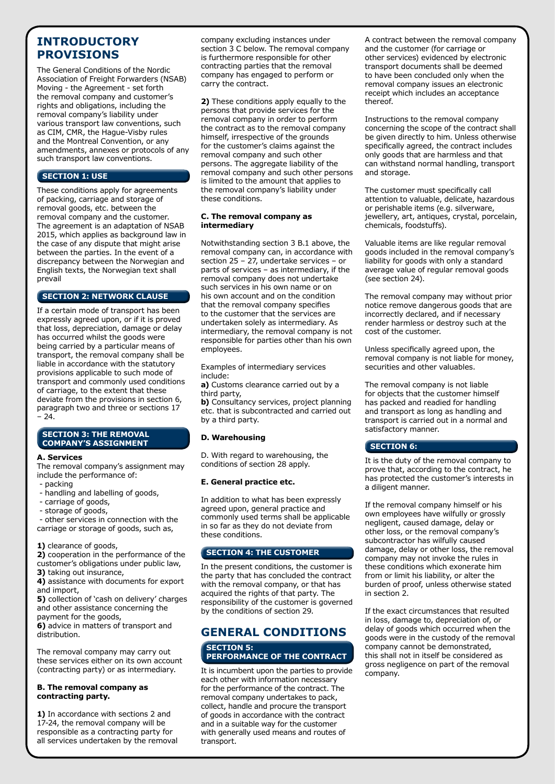## **INTRODUCTORY PROVISIONS**

The General Conditions of the Nordic Association of Freight Forwarders (NSAB) Moving - the Agreement - set forth the removal company and customer's rights and obligations, including the removal company's liability under various transport law conventions, such as CIM, CMR, the Hague-Visby rules and the Montreal Convention, or any amendments, annexes or protocols of any such transport law conventions.

## **SECTION 1: USE**

These conditions apply for agreements of packing, carriage and storage of removal goods, etc. between the removal company and the customer. The agreement is an adaptation of NSAB 2015, which applies as background law in the case of any dispute that might arise between the parties. In the event of a discrepancy between the Norwegian and English texts, the Norwegian text shall prevail

## **SECTION 2: NETWORK CLAUSE**

If a certain mode of transport has been expressly agreed upon, or if it is proved that loss, depreciation, damage or delay has occurred whilst the goods were being carried by a particular means of transport, the removal company shall be liable in accordance with the statutory provisions applicable to such mode of transport and commonly used conditions of carriage, to the extent that these deviate from the provisions in section 6, paragraph two and three or sections 17  $-24.$ 

## **SECTION 3: THE REMOVAL COMPANY'S ASSIGNMENT**

## **A. Services**

The removal company's assignment may include the performance of:

- packing
- handling and labelling of goods,
- carriage of goods,
- storage of goods,

 - other services in connection with the carriage or storage of goods, such as,

## **1)** clearance of goods,

**2)** cooperation in the performance of the customer's obligations under public law, **3)** taking out insurance,

**4)** assistance with documents for export and import,

**5)** collection of 'cash on delivery' charges and other assistance concerning the payment for the goods,

**6)** advice in matters of transport and distribution.

The removal company may carry out these services either on its own account (contracting party) or as intermediary.

#### **B. The removal company as contracting party.**

**1)** In accordance with sections 2 and 17-24, the removal company will be responsible as a contracting party for all services undertaken by the removal company excluding instances under section 3 C below. The removal company is furthermore responsible for other contracting parties that the removal company has engaged to perform or carry the contract.

**2)** These conditions apply equally to the persons that provide services for the removal company in order to perform the contract as to the removal company himself, irrespective of the grounds for the customer's claims against the removal company and such other persons. The aggregate liability of the removal company and such other persons is limited to the amount that applies to the removal company's liability under these conditions.

#### **C. The removal company as intermediary**

Notwithstanding section 3 B.1 above, the removal company can, in accordance with section 25 – 27, undertake services – or parts of services – as intermediary, if the removal company does not undertake such services in his own name or on his own account and on the condition that the removal company specifies to the customer that the services are undertaken solely as intermediary. As intermediary, the removal company is not responsible for parties other than his own employees.

Examples of intermediary services include:

**a)** Customs clearance carried out by a third party,

**b)** Consultancy services, project planning etc. that is subcontracted and carried out by a third party.

## **D. Warehousing**

D. With regard to warehousing, the conditions of section 28 apply.

## **E. General practice etc.**

In addition to what has been expressly agreed upon, general practice and commonly used terms shall be applicable in so far as they do not deviate from these conditions.

## **SECTION 4: THE CUSTOMER**

In the present conditions, the customer is the party that has concluded the contract with the removal company, or that has acquired the rights of that party. The responsibility of the customer is governed by the conditions of section 29.

## **GENERAL CONDITIONS**

#### **SECTION 5: PERFORMANCE OF THE CONTRACT**

It is incumbent upon the parties to provide each other with information necessary for the performance of the contract. The removal company undertakes to pack, collect, handle and procure the transport of goods in accordance with the contract and in a suitable way for the customer with generally used means and routes of transport.

A contract between the removal company and the customer (for carriage or other services) evidenced by electronic transport documents shall be deemed to have been concluded only when the removal company issues an electronic receipt which includes an acceptance thereof.

Instructions to the removal company concerning the scope of the contract shall be given directly to him. Unless otherwise specifically agreed, the contract includes only goods that are harmless and that can withstand normal handling, transport and storage.

The customer must specifically call attention to valuable, delicate, hazardous or perishable items (e.g. silverware, jewellery, art, antiques, crystal, porcelain, chemicals, foodstuffs).

Valuable items are like regular removal goods included in the removal company's liability for goods with only a standard average value of regular removal goods (see section 24).

The removal company may without prior notice remove dangerous goods that are incorrectly declared, and if necessary render harmless or destroy such at the cost of the customer.

Unless specifically agreed upon, the removal company is not liable for money, securities and other valuables.

The removal company is not liable for objects that the customer himself has packed and readied for handling and transport as long as handling and transport is carried out in a normal and satisfactory manner.

## **SECTION 6:**

It is the duty of the removal company to prove that, according to the contract, he has protected the customer's interests in a diligent manner.

If the removal company himself or his own employees have wilfully or grossly negligent, caused damage, delay or other loss, or the removal company's subcontractor has wilfully caused damage, delay or other loss, the removal company may not invoke the rules in these conditions which exonerate him from or limit his liability, or alter the burden of proof, unless otherwise stated in section 2.

If the exact circumstances that resulted in loss, damage to, depreciation of, or delay of goods which occurred when the goods were in the custody of the removal company cannot be demonstrated, this shall not in itself be considered as gross negligence on part of the removal company.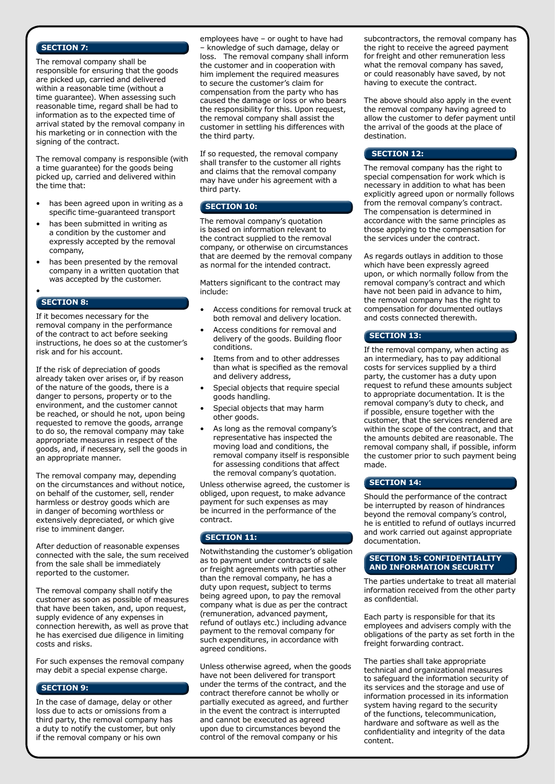#### **SECTION 7:**

The removal company shall be responsible for ensuring that the goods are picked up, carried and delivered within a reasonable time (without a time guarantee). When assessing such reasonable time, regard shall be had to information as to the expected time of arrival stated by the removal company in his marketing or in connection with the signing of the contract.

The removal company is responsible (with a time guarantee) for the goods being picked up, carried and delivered within the time that:

- has been agreed upon in writing as a specific time-guaranteed transport
- has been submitted in writing as a condition by the customer and expressly accepted by the removal company,
- has been presented by the removal company in a written quotation that was accepted by the customer.

#### • **SECTION 8:**

If it becomes necessary for the removal company in the performance of the contract to act before seeking instructions, he does so at the customer's risk and for his account.

If the risk of depreciation of goods already taken over arises or, if by reason of the nature of the goods, there is a danger to persons, property or to the environment, and the customer cannot be reached, or should he not, upon being requested to remove the goods, arrange to do so, the removal company may take appropriate measures in respect of the goods, and, if necessary, sell the goods in an appropriate manner.

The removal company may, depending on the circumstances and without notice, on behalf of the customer, sell, render harmless or destroy goods which are in danger of becoming worthless or extensively depreciated, or which give rise to imminent danger.

After deduction of reasonable expenses connected with the sale, the sum received from the sale shall be immediately reported to the customer.

The removal company shall notify the customer as soon as possible of measures that have been taken, and, upon request, supply evidence of any expenses in connection herewith, as well as prove that he has exercised due diligence in limiting costs and risks.

For such expenses the removal company may debit a special expense charge.

#### **SECTION 9:**

In the case of damage, delay or other loss due to acts or omissions from a third party, the removal company has a duty to notify the customer, but only if the removal company or his own

employees have – or ought to have had – knowledge of such damage, delay or loss. The removal company shall inform the customer and in cooperation with him implement the required measures to secure the customer's claim for compensation from the party who has caused the damage or loss or who bears the responsibility for this. Upon request, the removal company shall assist the customer in settling his differences with the third party.

If so requested, the removal company shall transfer to the customer all rights and claims that the removal company may have under his agreement with a third party.

#### **SECTION 10:**

The removal company's quotation is based on information relevant to the contract supplied to the removal company, or otherwise on circumstances that are deemed by the removal company as normal for the intended contract.

Matters significant to the contract may include:

- Access conditions for removal truck at both removal and delivery location.
- Access conditions for removal and delivery of the goods. Building floor conditions.
- Items from and to other addresses than what is specified as the removal and delivery address,
- Special objects that require special goods handling.
- Special objects that may harm other goods.
- As long as the removal company's representative has inspected the moving load and conditions, the removal company itself is responsible for assessing conditions that affect the removal company's quotation.

Unless otherwise agreed, the customer is obliged, upon request, to make advance payment for such expenses as may be incurred in the performance of the contract.

#### **SECTION 11:**

Notwithstanding the customer's obligation as to payment under contracts of sale or freight agreements with parties other than the removal company, he has a duty upon request, subject to terms being agreed upon, to pay the removal company what is due as per the contract (remuneration, advanced payment, refund of outlays etc.) including advance payment to the removal company for such expenditures, in accordance with agreed conditions.

Unless otherwise agreed, when the goods have not been delivered for transport under the terms of the contract, and the contract therefore cannot be wholly or partially executed as agreed, and further in the event the contract is interrupted and cannot be executed as agreed upon due to circumstances beyond the control of the removal company or his

subcontractors, the removal company has the right to receive the agreed payment for freight and other remuneration less what the removal company has saved, or could reasonably have saved, by not having to execute the contract.

The above should also apply in the event the removal company having agreed to allow the customer to defer payment until the arrival of the goods at the place of destination.

#### **SECTION 12:**

The removal company has the right to special compensation for work which is necessary in addition to what has been explicitly agreed upon or normally follows from the removal company's contract. The compensation is determined in accordance with the same principles as those applying to the compensation for the services under the contract.

As regards outlays in addition to those which have been expressly agreed upon, or which normally follow from the removal company's contract and which have not been paid in advance to him, the removal company has the right to compensation for documented outlays and costs connected therewith.

#### **SECTION 13:**

If the removal company, when acting as an intermediary, has to pay additional costs for services supplied by a third party, the customer has a duty upon request to refund these amounts subject to appropriate documentation. It is the removal company's duty to check, and if possible, ensure together with the customer, that the services rendered are within the scope of the contract, and that the amounts debited are reasonable. The removal company shall, if possible, inform the customer prior to such payment being made.

#### **SECTION 14:**

Should the performance of the contract be interrupted by reason of hindrances beyond the removal company's control, he is entitled to refund of outlays incurred and work carried out against appropriate documentation.

#### **SECTION 15: CONFIDENTIALITY AND INFORMATION SECURITY**

The parties undertake to treat all material information received from the other party as confidential.

Each party is responsible for that its employees and advisers comply with the obligations of the party as set forth in the freight forwarding contract.

The parties shall take appropriate technical and organizational measures to safeguard the information security of its services and the storage and use of information processed in its information system having regard to the security of the functions, telecommunication, hardware and software as well as the confidentiality and integrity of the data content.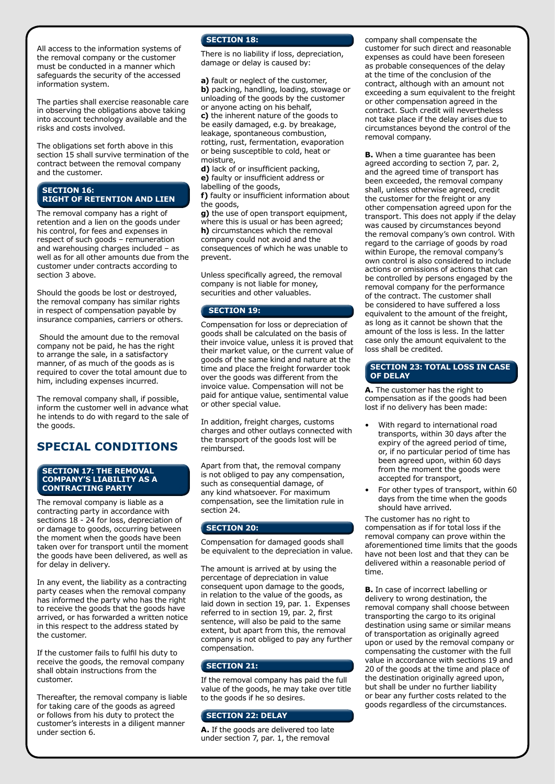All access to the information systems of the removal company or the customer must be conducted in a manner which safeguards the security of the accessed information system.

The parties shall exercise reasonable care in observing the obligations above taking into account technology available and the risks and costs involved.

The obligations set forth above in this section 15 shall survive termination of the contract between the removal company and the customer.

## **SECTION 16: RIGHT OF RETENTION AND LIEN**

The removal company has a right of retention and a lien on the goods under his control, for fees and expenses in respect of such goods – remuneration and warehousing charges included – as well as for all other amounts due from the customer under contracts according to section 3 above.

Should the goods be lost or destroyed, the removal company has similar rights in respect of compensation payable by insurance companies, carriers or others.

 Should the amount due to the removal company not be paid, he has the right to arrange the sale, in a satisfactory manner, of as much of the goods as is required to cover the total amount due to him, including expenses incurred.

The removal company shall, if possible, inform the customer well in advance what he intends to do with regard to the sale of the goods.

## **SPECIAL CONDITIONS**

#### **SECTION 17: THE REMOVAL COMPANY'S LIABILITY AS A CONTRACTING PARTY**

The removal company is liable as a contracting party in accordance with sections 18 - 24 for loss, depreciation of or damage to goods, occurring between the moment when the goods have been taken over for transport until the moment the goods have been delivered, as well as for delay in delivery.

In any event, the liability as a contracting party ceases when the removal company has informed the party who has the right to receive the goods that the goods have arrived, or has forwarded a written notice in this respect to the address stated by the customer.

If the customer fails to fulfil his duty to receive the goods, the removal company shall obtain instructions from the customer.

Thereafter, the removal company is liable for taking care of the goods as agreed or follows from his duty to protect the customer's interests in a diligent manner under section 6.

## **SECTION 18:**

There is no liability if loss, depreciation, damage or delay is caused by:

**a)** fault or neglect of the customer, **b)** packing, handling, loading, stowage or unloading of the goods by the customer or anyone acting on his behalf, **c)** the inherent nature of the goods to be easily damaged, e.g. by breakage, leakage, spontaneous combustion, rotting, rust, fermentation, evaporation or being susceptible to cold, heat or moisture,

**d)** lack of or insufficient packing, **e)** faulty or insufficient address or labelling of the goods,

**f)** faulty or insufficient information about the goods,

**g)** the use of open transport equipment, where this is usual or has been agreed; **h)** circumstances which the removal company could not avoid and the consequences of which he was unable to prevent.

Unless specifically agreed, the removal company is not liable for money, securities and other valuables.

## **SECTION 19:**

Compensation for loss or depreciation of goods shall be calculated on the basis of their invoice value, unless it is proved that their market value, or the current value of goods of the same kind and nature at the time and place the freight forwarder took over the goods was different from the invoice value. Compensation will not be paid for antique value, sentimental value or other special value.

In addition, freight charges, customs charges and other outlays connected with the transport of the goods lost will be reimbursed.

Apart from that, the removal company is not obliged to pay any compensation, such as consequential damage, of any kind whatsoever. For maximum compensation, see the limitation rule in section 24.

## **SECTION 20:**

Compensation for damaged goods shall be equivalent to the depreciation in value.

The amount is arrived at by using the percentage of depreciation in value consequent upon damage to the goods, in relation to the value of the goods, as laid down in section 19, par. 1. Expenses referred to in section 19, par. 2, first sentence, will also be paid to the same extent, but apart from this, the removal company is not obliged to pay any further compensation.

## **SECTION 21:**

If the removal company has paid the full value of the goods, he may take over title to the goods if he so desires.

#### **SECTION 22: DELAY**

**A.** If the goods are delivered too late under section 7, par. 1, the removal

company shall compensate the customer for such direct and reasonable expenses as could have been foreseen as probable consequences of the delay at the time of the conclusion of the contract, although with an amount not exceeding a sum equivalent to the freight or other compensation agreed in the contract. Such credit will nevertheless not take place if the delay arises due to circumstances beyond the control of the removal company.

**B.** When a time guarantee has been agreed according to section 7, par. 2, and the agreed time of transport has been exceeded, the removal company shall, unless otherwise agreed, credit the customer for the freight or any other compensation agreed upon for the transport. This does not apply if the delay was caused by circumstances beyond the removal company's own control. With regard to the carriage of goods by road within Europe, the removal company's own control is also considered to include actions or omissions of actions that can be controlled by persons engaged by the removal company for the performance of the contract. The customer shall be considered to have suffered a loss equivalent to the amount of the freight, as long as it cannot be shown that the amount of the loss is less. In the latter case only the amount equivalent to the loss shall be credited.

## **SECTION 23: TOTAL LOSS IN CASE OF DELAY**

**A.** The customer has the right to compensation as if the goods had been lost if no delivery has been made:

- With regard to international road transports, within 30 days after the expiry of the agreed period of time, or, if no particular period of time has been agreed upon, within 60 days from the moment the goods were accepted for transport,
- For other types of transport, within 60 days from the time when the goods should have arrived.

The customer has no right to compensation as if for total loss if the removal company can prove within the aforementioned time limits that the goods have not been lost and that they can be delivered within a reasonable period of time.

**B.** In case of incorrect labelling or delivery to wrong destination, the removal company shall choose between transporting the cargo to its original destination using same or similar means of transportation as originally agreed upon or used by the removal company or compensating the customer with the full value in accordance with sections 19 and 20 of the goods at the time and place of the destination originally agreed upon, but shall be under no further liability or bear any further costs related to the goods regardless of the circumstances.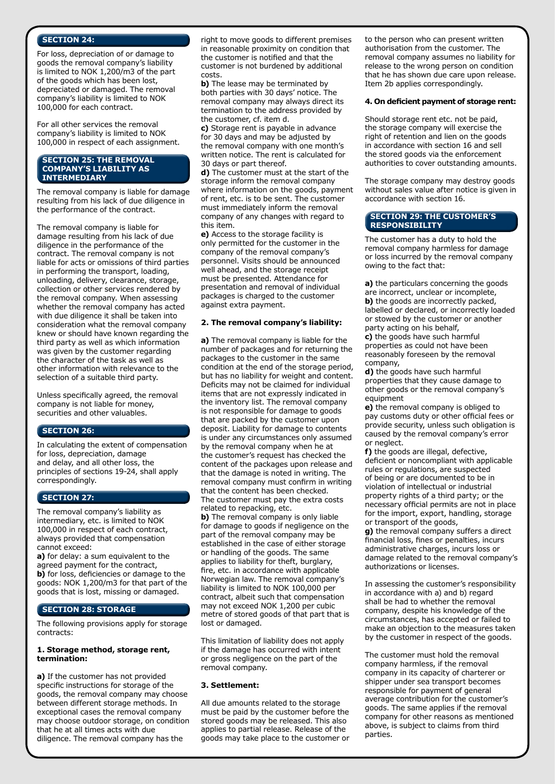## **SECTION 24:**

For loss, depreciation of or damage to goods the removal company's liability is limited to NOK 1,200/m3 of the part of the goods which has been lost, depreciated or damaged. The removal company's liability is limited to NOK 100,000 for each contract.

For all other services the removal company's liability is limited to NOK 100,000 in respect of each assignment.

#### **SECTION 25: THE REMOVAL COMPANY'S LIABILITY AS INTERMEDIARY**

The removal company is liable for damage resulting from his lack of due diligence in the performance of the contract.

The removal company is liable for damage resulting from his lack of due diligence in the performance of the contract. The removal company is not liable for acts or omissions of third parties in performing the transport, loading, unloading, delivery, clearance, storage, collection or other services rendered by the removal company. When assessing whether the removal company has acted with due diligence it shall be taken into consideration what the removal company knew or should have known regarding the third party as well as which information was given by the customer regarding the character of the task as well as other information with relevance to the selection of a suitable third party.

Unless specifically agreed, the removal company is not liable for money, securities and other valuables.

## **SECTION 26:**

In calculating the extent of compensation for loss, depreciation, damage and delay, and all other loss, the principles of sections 19-24, shall apply correspondingly.

## **SECTION 27:**

The removal company's liability as intermediary, etc. is limited to NOK 100,000 in respect of each contract, always provided that compensation cannot exceed:

**a)** for delay: a sum equivalent to the agreed payment for the contract, **b)** for loss, deficiencies or damage to the goods: NOK 1,200/m3 for that part of the goods that is lost, missing or damaged.

## **SECTION 28: STORAGE**

The following provisions apply for storage contracts:

#### **1. Storage method, storage rent, termination:**

**a)** If the customer has not provided specific instructions for storage of the goods, the removal company may choose between different storage methods. In exceptional cases the removal company may choose outdoor storage, on condition that he at all times acts with due diligence. The removal company has the

right to move goods to different premises in reasonable proximity on condition that the customer is notified and that the customer is not burdened by additional costs.

**b)** The lease may be terminated by both parties with 30 days' notice. The removal company may always direct its termination to the address provided by the customer, cf. item d.

**c)** Storage rent is payable in advance for 30 days and may be adjusted by the removal company with one month's written notice. The rent is calculated for 30 days or part thereof.

**d)** The customer must at the start of the storage inform the removal company where information on the goods, payment of rent, etc. is to be sent. The customer must immediately inform the removal company of any changes with regard to this item.

**e)** Access to the storage facility is only permitted for the customer in the company of the removal company's personnel. Visits should be announced well ahead, and the storage receipt must be presented. Attendance for presentation and removal of individual packages is charged to the customer against extra payment.

## **2. The removal company's liability:**

**a)** The removal company is liable for the number of packages and for returning the packages to the customer in the same condition at the end of the storage period, but has no liability for weight and content. Deficits may not be claimed for individual items that are not expressly indicated in the inventory list. The removal company is not responsible for damage to goods that are packed by the customer upon deposit. Liability for damage to contents is under any circumstances only assumed by the removal company when he at the customer's request has checked the content of the packages upon release and that the damage is noted in writing. The removal company must confirm in writing that the content has been checked. The customer must pay the extra costs related to repacking, etc.

**b)** The removal company is only liable for damage to goods if negligence on the part of the removal company may be established in the case of either storage or handling of the goods. The same applies to liability for theft, burglary, fire, etc. in accordance with applicable Norwegian law. The removal company's liability is limited to NOK 100,000 per contract, albeit such that compensation may not exceed NOK 1,200 per cubic metre of stored goods of that part that is lost or damaged.

This limitation of liability does not apply if the damage has occurred with intent or gross negligence on the part of the removal company.

#### **3. Settlement:**

All due amounts related to the storage must be paid by the customer before the stored goods may be released. This also applies to partial release. Release of the goods may take place to the customer or to the person who can present written authorisation from the customer. The removal company assumes no liability for release to the wrong person on condition that he has shown due care upon release. Item 2b applies correspondingly.

#### **4. On deficient payment of storage rent:**

Should storage rent etc. not be paid, the storage company will exercise the right of retention and lien on the goods in accordance with section 16 and sell the stored goods via the enforcement authorities to cover outstanding amounts.

The storage company may destroy goods without sales value after notice is given in accordance with section 16.

#### **SECTION 29: THE CUSTOMER'S RESPONSIBILITY**

The customer has a duty to hold the removal company harmless for damage or loss incurred by the removal company owing to the fact that:

**a)** the particulars concerning the goods are incorrect, unclear or incomplete, **b)** the goods are incorrectly packed, labelled or declared, or incorrectly loaded or stowed by the customer or another party acting on his behalf,

**c)** the goods have such harmful properties as could not have been reasonably foreseen by the removal company,

**d)** the goods have such harmful properties that they cause damage to other goods or the removal company's equipment

**e)** the removal company is obliged to pay customs duty or other official fees or provide security, unless such obligation is caused by the removal company's error or neglect.

**f)** the goods are illegal, defective, deficient or noncompliant with applicable rules or regulations, are suspected of being or are documented to be in violation of intellectual or industrial property rights of a third party; or the necessary official permits are not in place for the import, export, handling, storage or transport of the goods,

**g)** the removal company suffers a direct financial loss, fines or penalties, incurs administrative charges, incurs loss or damage related to the removal company's authorizations or licenses.

In assessing the customer's responsibility in accordance with a) and b) regard shall be had to whether the removal company, despite his knowledge of the circumstances, has accepted or failed to make an objection to the measures taken by the customer in respect of the goods.

The customer must hold the removal company harmless, if the removal company in its capacity of charterer or shipper under sea transport becomes responsible for payment of general average contribution for the customer's goods. The same applies if the removal company for other reasons as mentioned above, is subject to claims from third parties.